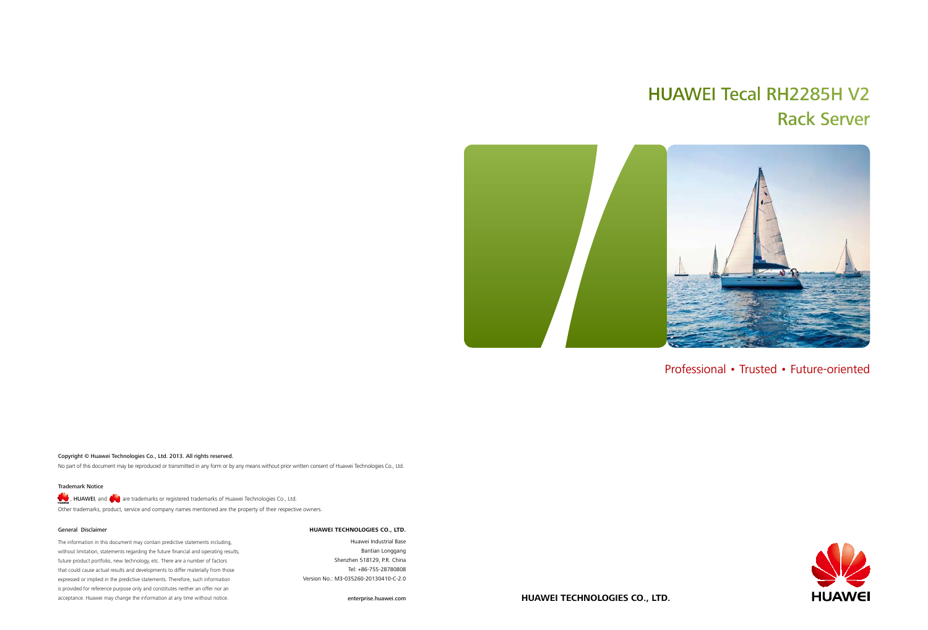# HUAWEI Tecal RH2285H V2 Rack Server



### Copyright © Huawei Technologies Co., Ltd. 2013. All rights reserved.

No part of this document may be reproduced or transmitted in any form or by any means without prior written consent of Huawei Technologies Co., Ltd.

### General Disclaimer

, HUAWEI, and  $\bigvee$  are trademarks or registered trademarks of Huawei Technologies Co., Ltd. Other trademarks, product, service and company names mentioned are the property of their respective owners.

The information in this document may contain predictive statements including, without limitation, statements regarding the future financial and operating results, future product portfolio, new technology, etc. There are a number of factors that could cause actual results and developments to differ materially from those expressed or implied in the predictive statements. Therefore, such information is provided for reference purpose only and constitutes neither an offer nor an acceptance. Huawei may change the information at any time without notice.

### Trademark Notice

### **HUAWEI TECHNOLOGIES CO., LTD.**

Huawei Industrial Base Bantian Longgang Shenzhen 518129, P.R. China Tel: +86-755-28780808 Version No.: M3-035260-20130410-C-2.0

enterprise.huawei.com

Professional • Trusted • Future-oriented